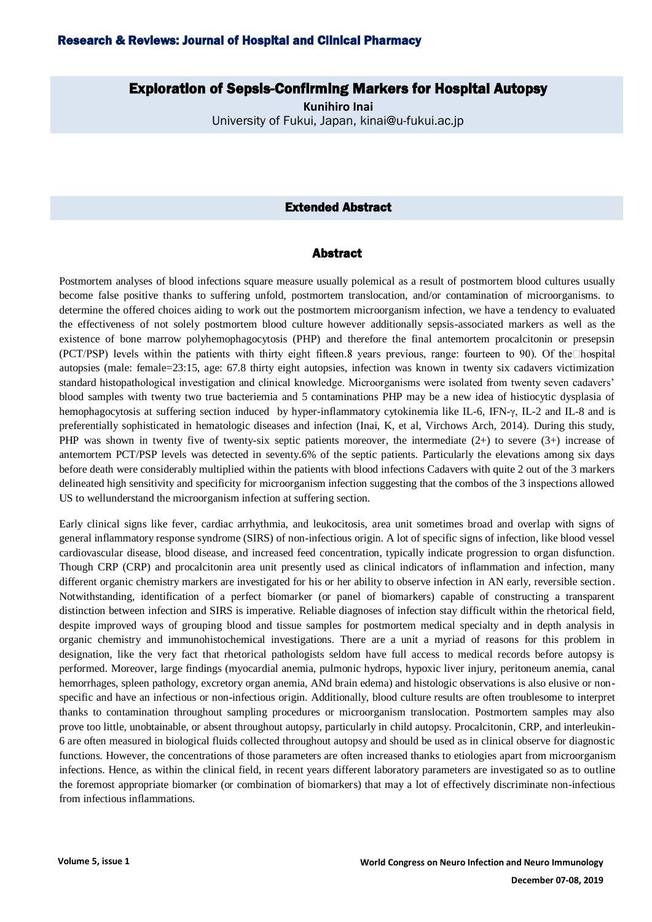# Exploration of Sepsis-Confirming Markers for Hospital Autopsy

**Kunihiro Inai** University of Fukui, Japan, kinai@u-fukui.ac.jp

## Extended Abstract

#### Abstract

Postmortem analyses of blood infections square measure usually polemical as a result of postmortem blood cultures usually become false positive thanks to suffering unfold, postmortem translocation, and/or contamination of microorganisms. to determine the offered choices aiding to work out the postmortem microorganism infection, we have a tendency to evaluated the effectiveness of not solely postmortem blood culture however additionally sepsis-associated markers as well as the existence of bone marrow polyhemophagocytosis (PHP) and therefore the final antemortem procalcitonin or presepsin (PCT/PSP) levels within the patients with thirty eight fifteen.8 years previous, range: fourteen to 90). Of the□hospital autopsies (male: female=23:15, age: 67.8 thirty eight autopsies, infection was known in twenty six cadavers victimization standard histopathological investigation and clinical knowledge. Microorganisms were isolated from twenty seven cadavers' blood samples with twenty two true bacteriemia and 5 contaminations PHP may be a new idea of histiocytic dysplasia of hemophagocytosis at suffering section induced by hyper-inflammatory cytokinemia like IL-6, IFN-γ, IL-2 and IL-8 and is preferentially sophisticated in hematologic diseases and infection (Inai, K, et al, Virchows Arch, 2014). During this study, PHP was shown in twenty five of twenty-six septic patients moreover, the intermediate (2+) to severe (3+) increase of antemortem PCT/PSP levels was detected in seventy.6% of the septic patients. Particularly the elevations among six days before death were considerably multiplied within the patients with blood infections Cadavers with quite 2 out of the 3 markers delineated high sensitivity and specificity for microorganism infection suggesting that the combos of the 3 inspections allowed US to wellunderstand the microorganism infection at suffering section.

Early clinical signs like fever, cardiac arrhythmia, and leukocitosis, area unit sometimes broad and overlap with signs of general inflammatory response syndrome (SIRS) of non-infectious origin. A lot of specific signs of infection, like blood vessel cardiovascular disease, blood disease, and increased feed concentration, typically indicate progression to organ disfunction. Though CRP (CRP) and procalcitonin area unit presently used as clinical indicators of inflammation and infection, many different organic chemistry markers are investigated for his or her ability to observe infection in AN early, reversible section. Notwithstanding, identification of a perfect biomarker (or panel of biomarkers) capable of constructing a transparent distinction between infection and SIRS is imperative. Reliable diagnoses of infection stay difficult within the rhetorical field, despite improved ways of grouping blood and tissue samples for postmortem medical specialty and in depth analysis in organic chemistry and immunohistochemical investigations. There are a unit a myriad of reasons for this problem in designation, like the very fact that rhetorical pathologists seldom have full access to medical records before autopsy is performed. Moreover, large findings (myocardial anemia, pulmonic hydrops, hypoxic liver injury, peritoneum anemia, canal hemorrhages, spleen pathology, excretory organ anemia, ANd brain edema) and histologic observations is also elusive or nonspecific and have an infectious or non-infectious origin. Additionally, blood culture results are often troublesome to interpret thanks to contamination throughout sampling procedures or microorganism translocation. Postmortem samples may also prove too little, unobtainable, or absent throughout autopsy, particularly in child autopsy. Procalcitonin, CRP, and interleukin-6 are often measured in biological fluids collected throughout autopsy and should be used as in clinical observe for diagnostic functions. However, the concentrations of those parameters are often increased thanks to etiologies apart from microorganism infections. Hence, as within the clinical field, in recent years different laboratory parameters are investigated so as to outline the foremost appropriate biomarker (or combination of biomarkers) that may a lot of effectively discriminate non-infectious from infectious inflammations.